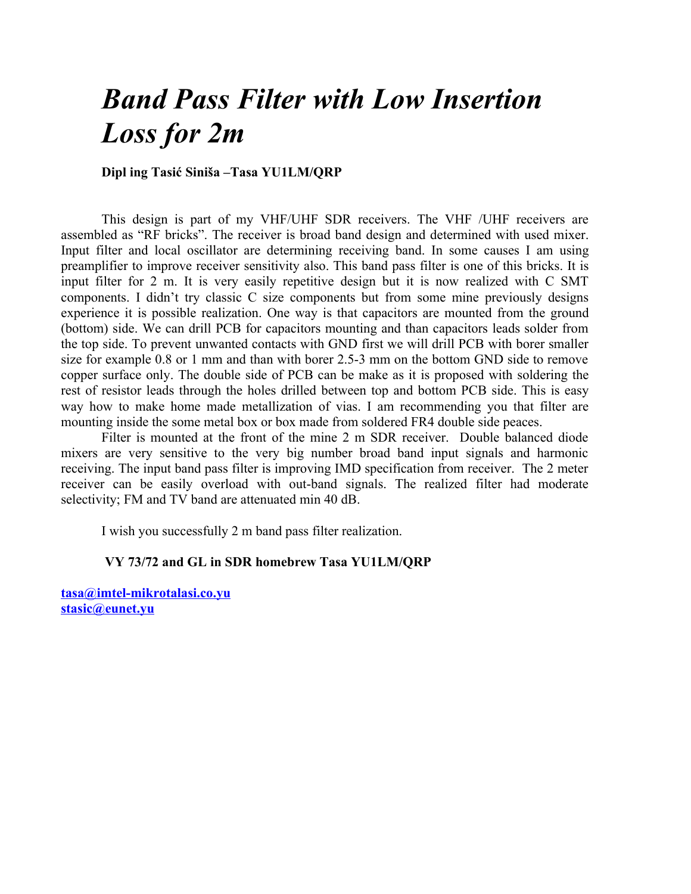## *Band Pass Filter with Low Insertion Loss for 2m*

## **Dipl ing Tasić Siniša –Tasa YU1LM/QRP**

This design is part of my VHF/UHF SDR receivers. The VHF /UHF receivers are assembled as "RF bricks". The receiver is broad band design and determined with used mixer. Input filter and local oscillator are determining receiving band. In some causes I am using preamplifier to improve receiver sensitivity also. This band pass filter is one of this bricks. It is input filter for 2 m. It is very easily repetitive design but it is now realized with C SMT components. I didn't try classic C size components but from some mine previously designs experience it is possible realization. One way is that capacitors are mounted from the ground (bottom) side. We can drill PCB for capacitors mounting and than capacitors leads solder from the top side. To prevent unwanted contacts with GND first we will drill PCB with borer smaller size for example 0.8 or 1 mm and than with borer 2.5-3 mm on the bottom GND side to remove copper surface only. The double side of PCB can be make as it is proposed with soldering the rest of resistor leads through the holes drilled between top and bottom PCB side. This is easy way how to make home made metallization of vias. I am recommending you that filter are mounting inside the some metal box or box made from soldered FR4 double side peaces.

Filter is mounted at the front of the mine 2 m SDR receiver. Double balanced diode mixers are very sensitive to the very big number broad band input signals and harmonic receiving. The input band pass filter is improving IMD specification from receiver. The 2 meter receiver can be easily overload with out-band signals. The realized filter had moderate selectivity; FM and TV band are attenuated min 40 dB.

I wish you successfully 2 m band pass filter realization.

## **VY 73/72 and GL in SDR homebrew Tasa YU1LM/QRP**

**[tasa@imtel-mikrotalasi.co.yu](mailto:tasa@imtel-mikrotalasi.co.yu) [stasic@eunet.yu](mailto:stasic@eunet.yu)**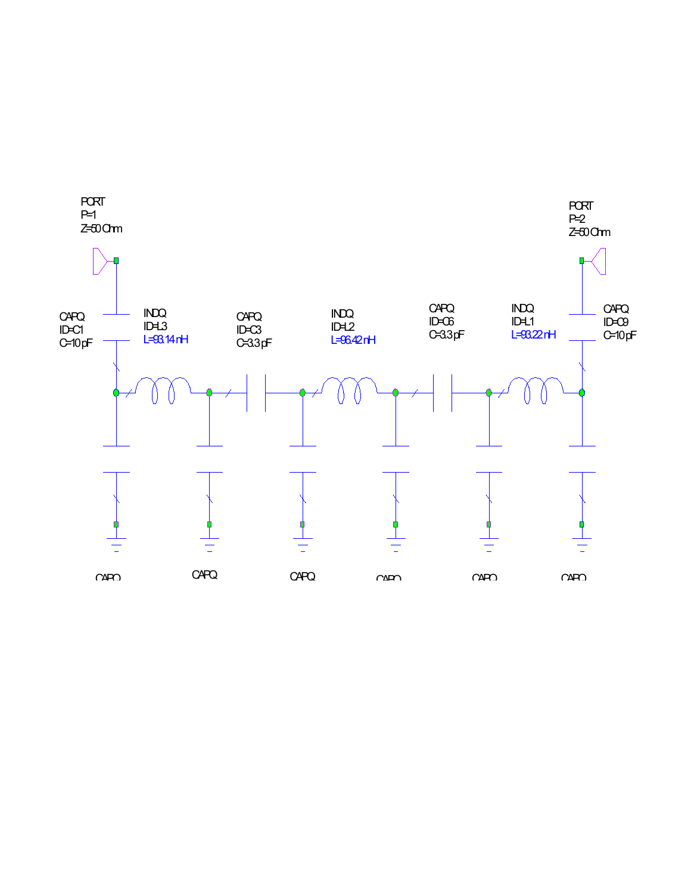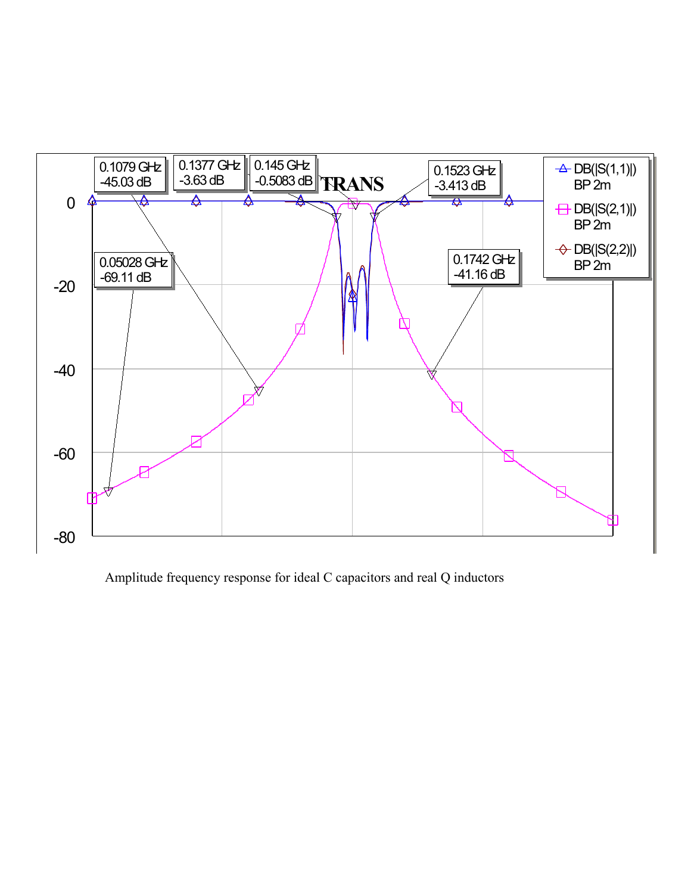

Amplitude frequency response for ideal C capacitors and real Q inductors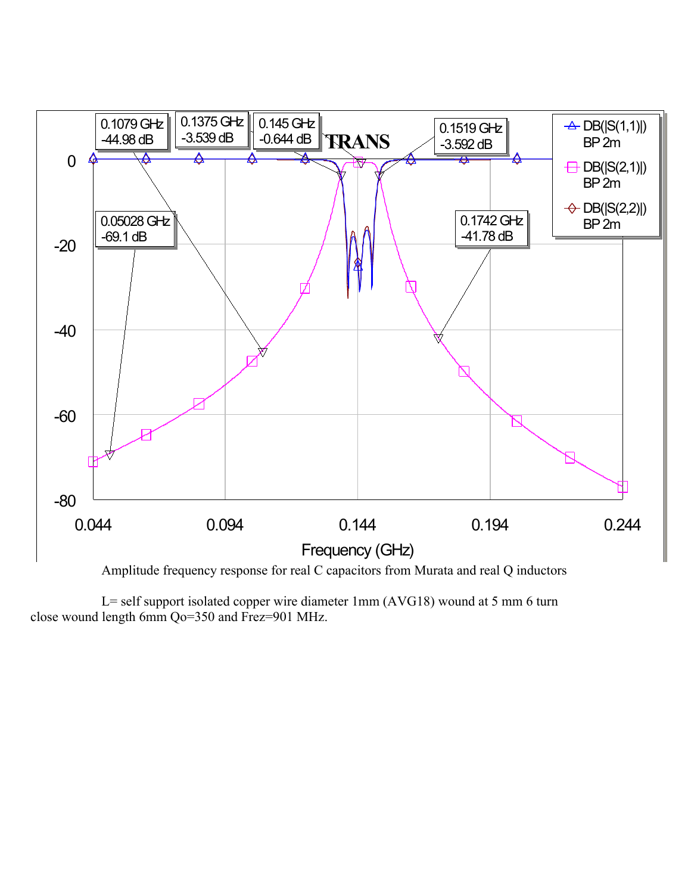

L= self support isolated copper wire diameter 1mm (AVG18) wound at 5 mm 6 turn close wound length 6mm Qo=350 and Frez=901 MHz.